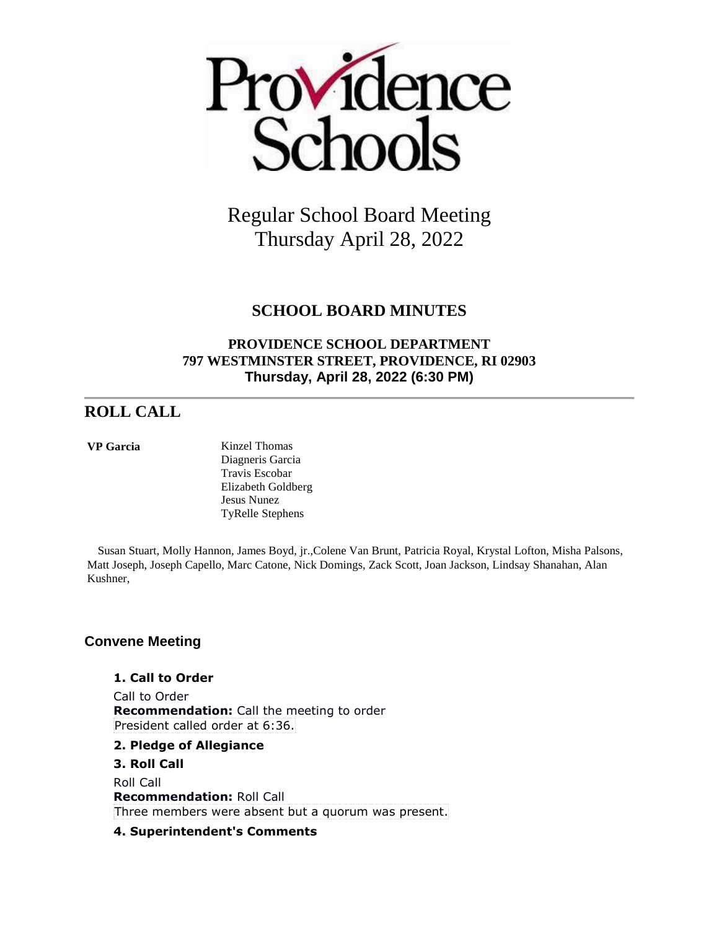

# **SCHOOL BOARD MINUTES**

# **PROVIDENCE SCHOOL DEPARTMENT 797 WESTMINSTER STREET, PROVIDENCE, RI 02903 Thursday, April 28, 2022 (6:30 PM)**

# **ROLL CALL**

**VP Garcia** Kinzel Thomas Diagneris Garcia Travis Escobar Elizabeth Goldberg Jesus Nunez TyRelle Stephens

 Susan Stuart, Molly Hannon, James Boyd, jr.,Colene Van Brunt, Patricia Royal, Krystal Lofton, Misha Palsons, Matt Joseph, Joseph Capello, Marc Catone, Nick Domings, Zack Scott, Joan Jackson, Lindsay Shanahan, Alan Kushner,

# **Convene Meeting**

**1. Call to Order** Call to Order **Recommendation:** Call the meeting to order

President called order at 6:36.

- **2. Pledge of Allegiance**
- **3. Roll Call**

Roll Call **Recommendation:** Roll Call Three members were absent but a quorum was present.

## **4. Superintendent's Comments**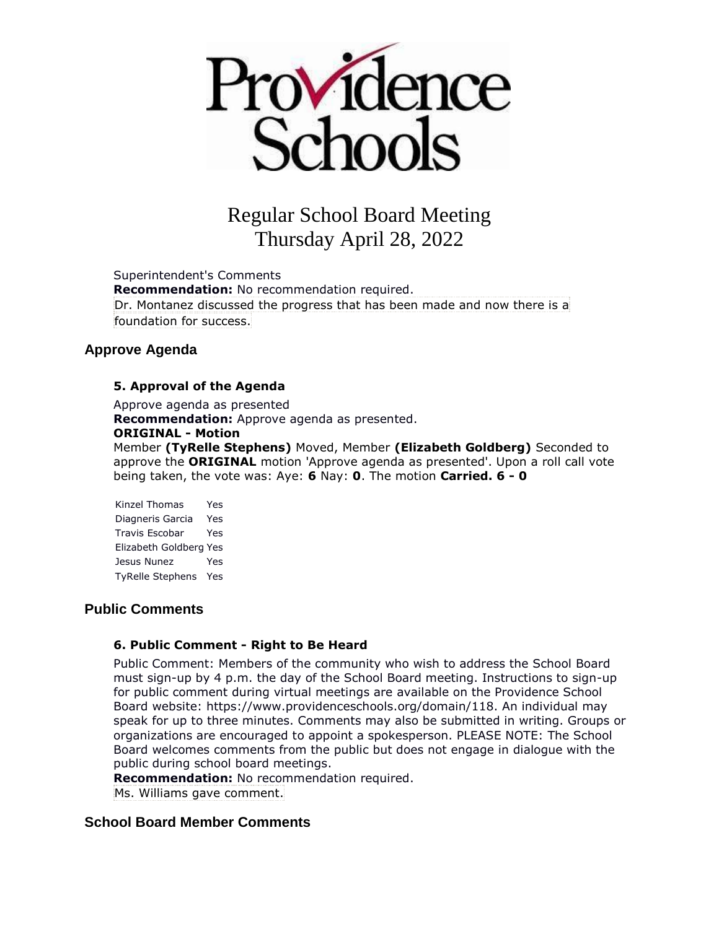

Superintendent's Comments **Recommendation:** No recommendation required. Dr. Montanez discussed the progress that has been made and now there is a foundation for success.

## **Approve Agenda**

### **5. Approval of the Agenda**

Approve agenda as presented

**Recommendation:** Approve agenda as presented.

#### **ORIGINAL - Motion**

Member **(TyRelle Stephens)** Moved, Member **(Elizabeth Goldberg)** Seconded to approve the **ORIGINAL** motion 'Approve agenda as presented'. Upon a roll call vote being taken, the vote was: Aye: **6** Nay: **0**. The motion **Carried. 6 - 0** 

Kinzel Thomas Yes Diagneris Garcia Yes Travis Escobar Yes Elizabeth Goldberg Yes Jesus Nunez Yes TyRelle Stephens Yes

### **Public Comments**

### **6. Public Comment - Right to Be Heard**

Public Comment: Members of the community who wish to address the School Board must sign-up by 4 p.m. the day of the School Board meeting. Instructions to sign-up for public comment during virtual meetings are available on the Providence School Board website: https://www.providenceschools.org/domain/118. An individual may speak for up to three minutes. Comments may also be submitted in writing. Groups or organizations are encouraged to appoint a spokesperson. PLEASE NOTE: The School Board welcomes comments from the public but does not engage in dialogue with the public during school board meetings.

**Recommendation:** No recommendation required.

Ms. Williams gave comment.

## **School Board Member Comments**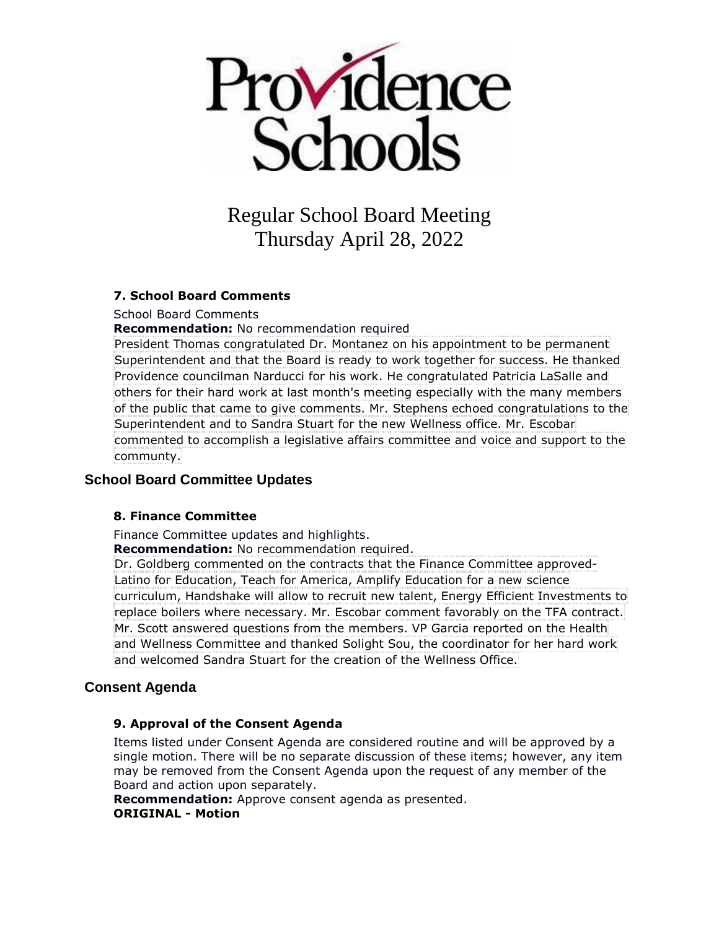

#### **7. School Board Comments**

School Board Comments

**Recommendation:** No recommendation required

President Thomas congratulated Dr. Montanez on his appointment to be permanent Superintendent and that the Board is ready to work together for success. He thanked Providence councilman Narducci for his work. He congratulated Patricia LaSalle and others for their hard work at last month's meeting especially with the many members of the public that came to give comments. Mr. Stephens echoed congratulations to the Superintendent and to Sandra Stuart for the new Wellness office. Mr. Escobar commented to accomplish a legislative affairs committee and voice and support to the communty.

### **School Board Committee Updates**

#### **8. Finance Committee**

Finance Committee updates and highlights.

**Recommendation:** No recommendation required.

Dr. Goldberg commented on the contracts that the Finance Committee approved-Latino for Education, Teach for America, Amplify Education for a new science curriculum, Handshake will allow to recruit new talent, Energy Efficient Investments to replace boilers where necessary. Mr. Escobar comment favorably on the TFA contract. Mr. Scott answered questions from the members. VP Garcia reported on the Health and Wellness Committee and thanked Solight Sou, the coordinator for her hard work and welcomed Sandra Stuart for the creation of the Wellness Office.

## **Consent Agenda**

### **9. Approval of the Consent Agenda**

Items listed under Consent Agenda are considered routine and will be approved by a single motion. There will be no separate discussion of these items; however, any item may be removed from the Consent Agenda upon the request of any member of the Board and action upon separately.

**Recommendation:** Approve consent agenda as presented. **ORIGINAL - Motion**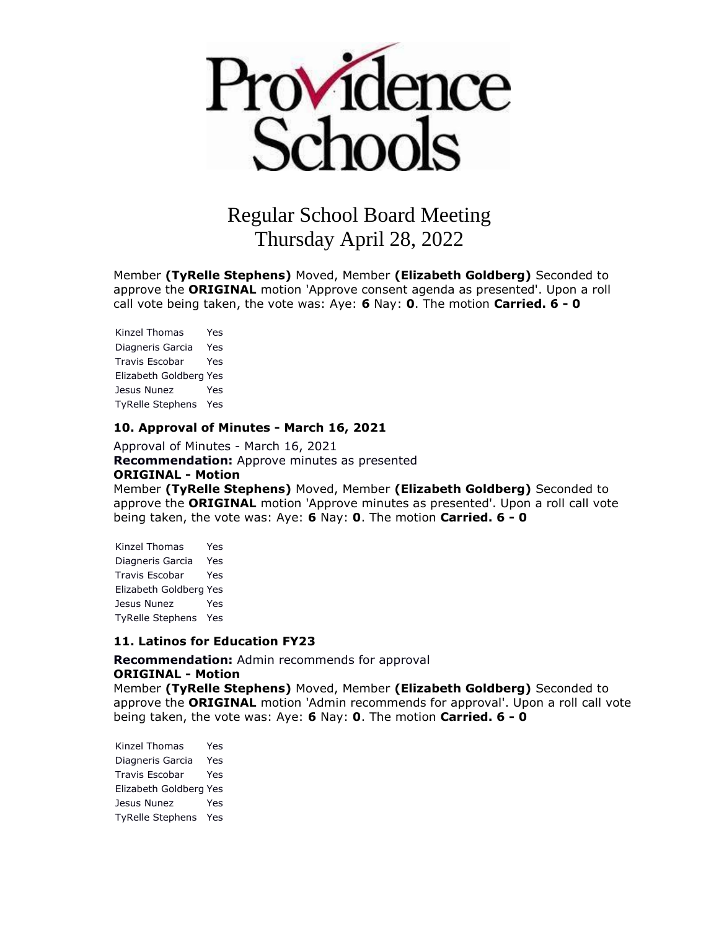

Member **(TyRelle Stephens)** Moved, Member **(Elizabeth Goldberg)** Seconded to approve the **ORIGINAL** motion 'Approve consent agenda as presented'. Upon a roll call vote being taken, the vote was: Aye: **6** Nay: **0**. The motion **Carried. 6 - 0** 

Kinzel Thomas Yes Diagneris Garcia Yes Travis Escobar Yes Elizabeth Goldberg Yes Jesus Nunez Yes TyRelle Stephens Yes

#### **10. Approval of Minutes - March 16, 2021**

Approval of Minutes - March 16, 2021 **Recommendation:** Approve minutes as presented **ORIGINAL - Motion** Member **(TyRelle Stephens)** Moved, Member **(Elizabeth Goldberg)** Seconded to approve the **ORIGINAL** motion 'Approve minutes as presented'. Upon a roll call vote being taken, the vote was: Aye: **6** Nay: **0**. The motion **Carried. 6 - 0** 

Kinzel Thomas Yes Diagneris Garcia Yes Travis Escobar Yes Elizabeth Goldberg Yes Jesus Nunez Yes TyRelle Stephens Yes

#### **11. Latinos for Education FY23**

**Recommendation:** Admin recommends for approval **ORIGINAL - Motion**

Member **(TyRelle Stephens)** Moved, Member **(Elizabeth Goldberg)** Seconded to approve the **ORIGINAL** motion 'Admin recommends for approval'. Upon a roll call vote being taken, the vote was: Aye: **6** Nay: **0**. The motion **Carried. 6 - 0** 

Kinzel Thomas Yes Diagneris Garcia Yes Travis Escobar Yes Elizabeth Goldberg Yes Jesus Nunez Yes TyRelle Stephens Yes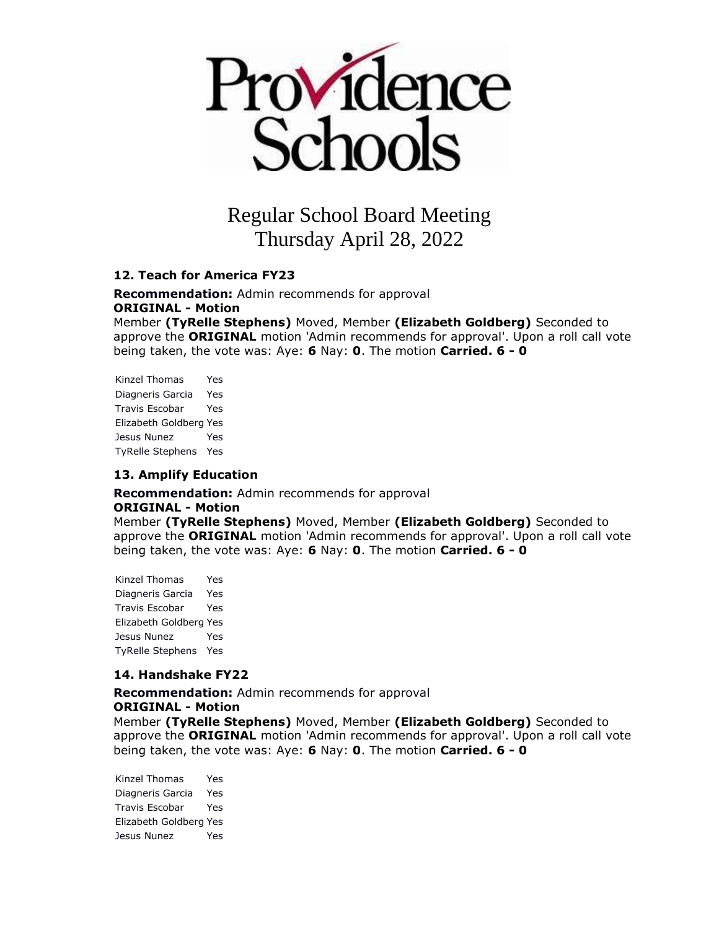

#### **12. Teach for America FY23**

**Recommendation:** Admin recommends for approval **ORIGINAL - Motion**

Member **(TyRelle Stephens)** Moved, Member **(Elizabeth Goldberg)** Seconded to approve the **ORIGINAL** motion 'Admin recommends for approval'. Upon a roll call vote being taken, the vote was: Aye: **6** Nay: **0**. The motion **Carried. 6 - 0** 

Kinzel Thomas Yes Diagneris Garcia Yes Travis Escobar Yes Elizabeth Goldberg Yes Jesus Nunez Yes TyRelle Stephens Yes

#### **13. Amplify Education**

**Recommendation:** Admin recommends for approval **ORIGINAL - Motion** Member **(TyRelle Stephens)** Moved, Member **(Elizabeth Goldberg)** Seconded to approve the **ORIGINAL** motion 'Admin recommends for approval'. Upon a roll call vote being taken, the vote was: Aye: **6** Nay: **0**. The motion **Carried. 6 - 0** 

Kinzel Thomas Yes Diagneris Garcia Yes Travis Escobar Yes Elizabeth Goldberg Yes Jesus Nunez Yes TyRelle Stephens Yes

#### **14. Handshake FY22**

**Recommendation:** Admin recommends for approval **ORIGINAL - Motion** Member **(TyRelle Stephens)** Moved, Member **(Elizabeth Goldberg)** Seconded to approve the **ORIGINAL** motion 'Admin recommends for approval'. Upon a roll call vote being taken, the vote was: Aye: **6** Nay: **0**. The motion **Carried. 6 - 0** 

Kinzel Thomas Yes Diagneris Garcia Yes Travis Escobar Yes Elizabeth Goldberg Yes Jesus Nunez Yes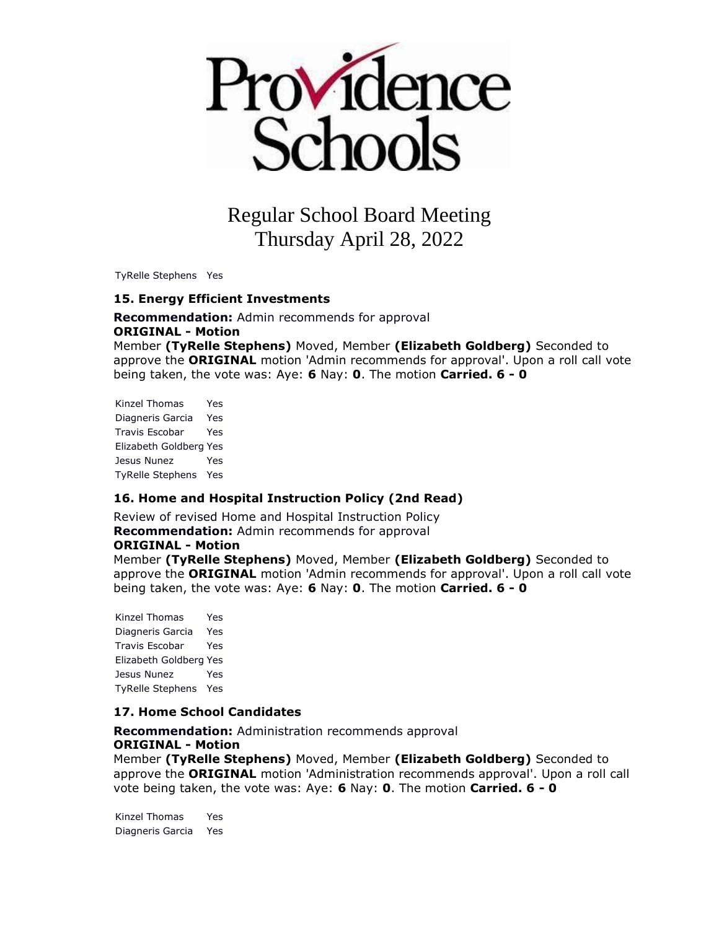

TyRelle Stephens Yes

#### **15. Energy Efficient Investments**

**Recommendation:** Admin recommends for approval **ORIGINAL - Motion** Member **(TyRelle Stephens)** Moved, Member **(Elizabeth Goldberg)** Seconded to approve the **ORIGINAL** motion 'Admin recommends for approval'. Upon a roll call vote being taken, the vote was: Aye: **6** Nay: **0**. The motion **Carried. 6 - 0** 

Kinzel Thomas Yes Diagneris Garcia Yes Travis Escobar Yes Elizabeth Goldberg Yes Jesus Nunez Yes TyRelle Stephens Yes

### **16. Home and Hospital Instruction Policy (2nd Read)**

Review of revised Home and Hospital Instruction Policy **Recommendation:** Admin recommends for approval

#### **ORIGINAL - Motion**

Member **(TyRelle Stephens)** Moved, Member **(Elizabeth Goldberg)** Seconded to approve the **ORIGINAL** motion 'Admin recommends for approval'. Upon a roll call vote being taken, the vote was: Aye: **6** Nay: **0**. The motion **Carried. 6 - 0** 

Kinzel Thomas Yes Diagneris Garcia Yes Travis Escobar Yes Elizabeth Goldberg Yes Jesus Nunez Yes TyRelle Stephens Yes

#### **17. Home School Candidates**

**Recommendation:** Administration recommends approval **ORIGINAL - Motion**

Member **(TyRelle Stephens)** Moved, Member **(Elizabeth Goldberg)** Seconded to approve the **ORIGINAL** motion 'Administration recommends approval'. Upon a roll call vote being taken, the vote was: Aye: **6** Nay: **0**. The motion **Carried. 6 - 0** 

Kinzel Thomas Yes Diagneris Garcia Yes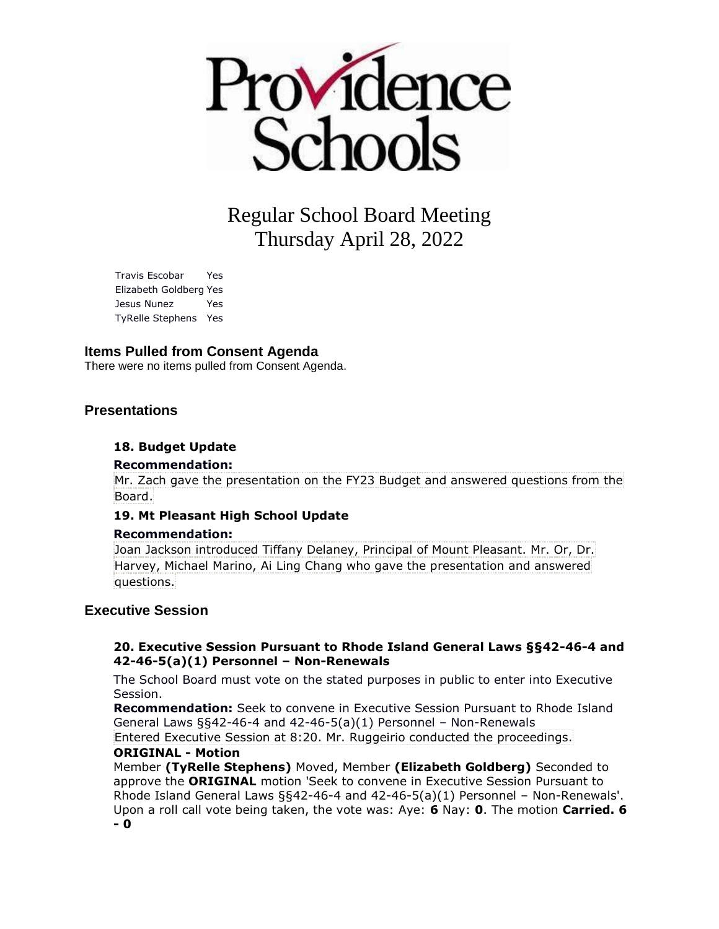

Travis Escobar Yes Elizabeth Goldberg Yes Jesus Nunez Yes TyRelle Stephens Yes

#### **Items Pulled from Consent Agenda**

There were no items pulled from Consent Agenda.

#### **Presentations**

#### **18. Budget Update**

#### **Recommendation:**

Mr. Zach gave the presentation on the FY23 Budget and answered questions from the Board.

#### **19. Mt Pleasant High School Update**

#### **Recommendation:**

Joan Jackson introduced Tiffany Delaney, Principal of Mount Pleasant. Mr. Or, Dr. Harvey, Michael Marino, Ai Ling Chang who gave the presentation and answered questions.

#### **Executive Session**

#### **20. Executive Session Pursuant to Rhode Island General Laws §§42-46-4 and 42-46-5(a)(1) Personnel – Non-Renewals**

The School Board must vote on the stated purposes in public to enter into Executive Session.

**Recommendation:** Seek to convene in Executive Session Pursuant to Rhode Island General Laws §§42-46-4 and 42-46-5(a)(1) Personnel – Non-Renewals

Entered Executive Session at 8:20. Mr. Ruggeirio conducted the proceedings. **ORIGINAL - Motion**

Member **(TyRelle Stephens)** Moved, Member **(Elizabeth Goldberg)** Seconded to approve the **ORIGINAL** motion 'Seek to convene in Executive Session Pursuant to Rhode Island General Laws §§42-46-4 and 42-46-5(a)(1) Personnel – Non-Renewals'. Upon a roll call vote being taken, the vote was: Aye: **6** Nay: **0**. The motion **Carried. 6 - 0**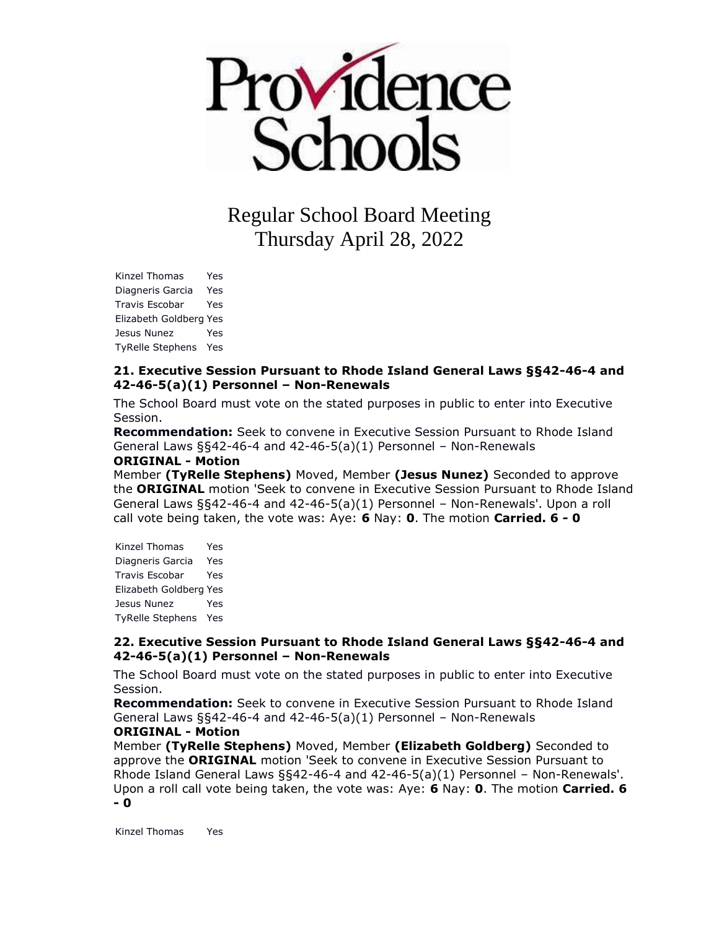

Kinzel Thomas Yes Diagneris Garcia Yes Travis Escobar Yes Elizabeth Goldberg Yes Jesus Nunez Yes TyRelle Stephens Yes

#### **21. Executive Session Pursuant to Rhode Island General Laws §§42-46-4 and 42-46-5(a)(1) Personnel – Non-Renewals**

The School Board must vote on the stated purposes in public to enter into Executive Session.

**Recommendation:** Seek to convene in Executive Session Pursuant to Rhode Island General Laws §§42-46-4 and 42-46-5(a)(1) Personnel – Non-Renewals

#### **ORIGINAL - Motion**

Member **(TyRelle Stephens)** Moved, Member **(Jesus Nunez)** Seconded to approve the **ORIGINAL** motion 'Seek to convene in Executive Session Pursuant to Rhode Island General Laws §§42-46-4 and 42-46-5(a)(1) Personnel – Non-Renewals'. Upon a roll call vote being taken, the vote was: Aye: **6** Nay: **0**. The motion **Carried. 6 - 0** 

| Kinzel Thomas           | Yes |
|-------------------------|-----|
| Diagneris Garcia        | Yes |
| <b>Travis Escobar</b>   | Yes |
| Elizabeth Goldberg Yes  |     |
| Jesus Nunez             | Yes |
| <b>TyRelle Stephens</b> | Yes |

#### **22. Executive Session Pursuant to Rhode Island General Laws §§42-46-4 and 42-46-5(a)(1) Personnel – Non-Renewals**

The School Board must vote on the stated purposes in public to enter into Executive Session.

**Recommendation:** Seek to convene in Executive Session Pursuant to Rhode Island General Laws §§42-46-4 and 42-46-5(a)(1) Personnel – Non-Renewals

#### **ORIGINAL - Motion**

Member **(TyRelle Stephens)** Moved, Member **(Elizabeth Goldberg)** Seconded to approve the **ORIGINAL** motion 'Seek to convene in Executive Session Pursuant to Rhode Island General Laws §§42-46-4 and 42-46-5(a)(1) Personnel – Non-Renewals'. Upon a roll call vote being taken, the vote was: Aye: **6** Nay: **0**. The motion **Carried. 6 - 0** 

Kinzel Thomas Yes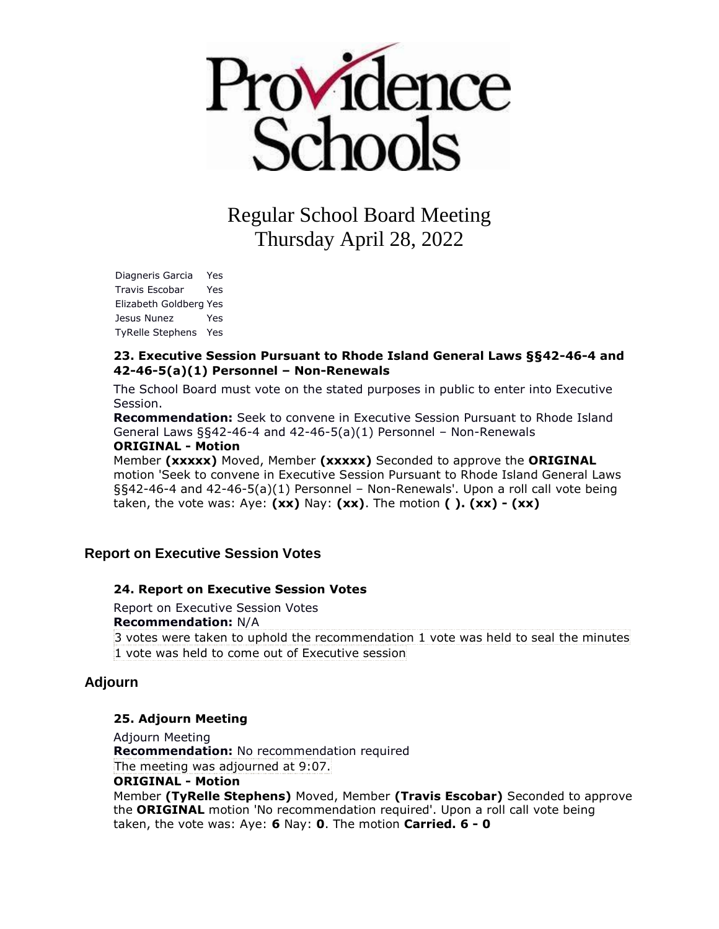

Diagneris Garcia Yes Travis Escobar Yes Elizabeth Goldberg Yes Jesus Nunez Yes TyRelle Stephens Yes

#### **23. Executive Session Pursuant to Rhode Island General Laws §§42-46-4 and 42-46-5(a)(1) Personnel – Non-Renewals**

The School Board must vote on the stated purposes in public to enter into Executive Session.

**Recommendation:** Seek to convene in Executive Session Pursuant to Rhode Island General Laws §§42-46-4 and 42-46-5(a)(1) Personnel – Non-Renewals **ORIGINAL - Motion**

Member **(xxxxx)** Moved, Member **(xxxxx)** Seconded to approve the **ORIGINAL**  motion 'Seek to convene in Executive Session Pursuant to Rhode Island General Laws §§42-46-4 and 42-46-5(a)(1) Personnel – Non-Renewals'. Upon a roll call vote being taken, the vote was: Aye: **(xx)** Nay: **(xx)**. The motion **( ). (xx) - (xx)** 

## **Report on Executive Session Votes**

#### **24. Report on Executive Session Votes**

Report on Executive Session Votes **Recommendation:** N/A 3 votes were taken to uphold the recommendation 1 vote was held to seal the minutes 1 vote was held to come out of Executive session

### **Adjourn**

#### **25. Adjourn Meeting**

Adjourn Meeting **Recommendation:** No recommendation required The meeting was adjourned at 9:07. **ORIGINAL - Motion** Member **(TyRelle Stephens)** Moved, Member **(Travis Escobar)** Seconded to approve the **ORIGINAL** motion 'No recommendation required'. Upon a roll call vote being taken, the vote was: Aye: **6** Nay: **0**. The motion **Carried. 6 - 0**